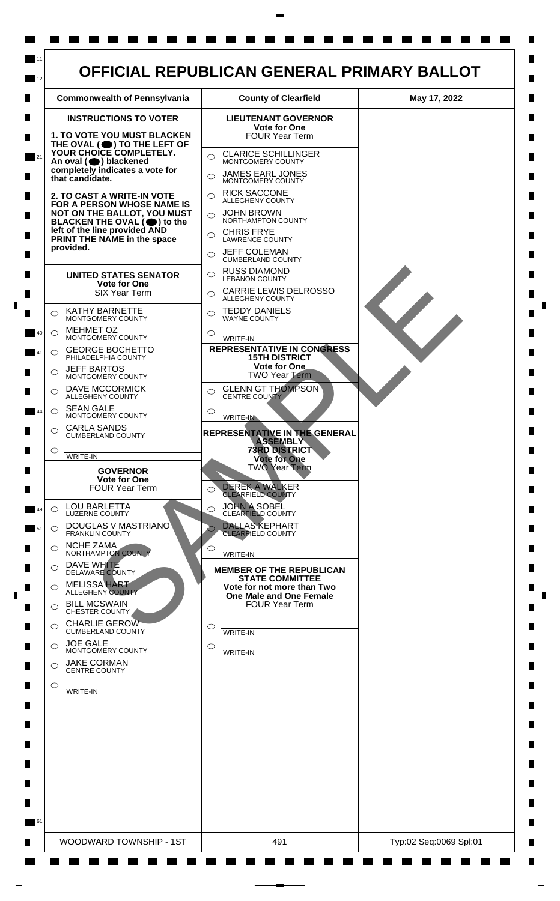

 $\Box$ 

 $\mathsf{L}$